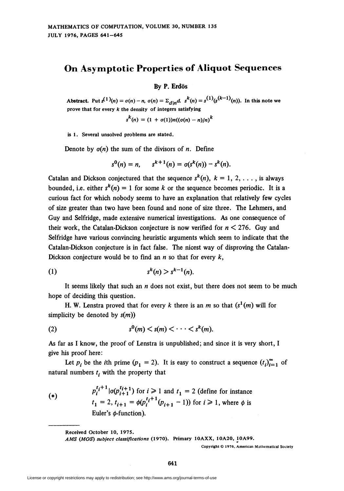## On Asymptotic Properties of Aliquot Sequences

By P. Erdös

Abstract. Put  $s^{(1)}(n) = \sigma(n) - n$ ,  $\sigma(n) = \sum_{d|n} d$ .  $s^k(n) = s^{(1)}(s^{(k-1)}(n))$ . In this note we prove that for every  $k$  the density of integers satisfying

$$
s^k(n) = (1 + \sigma(1))n((\sigma(n) - n)/n)^k
$$

is 1. Several unsolved problems are stated.

Denote by  $\sigma(n)$  the sum of the divisors of n. Define

$$
s^{0}(n) = n, \qquad s^{k+1}(n) = \sigma(s^{k}(n)) - s^{k}(n).
$$

Catalan and Dickson conjectured that the sequence  $s^{k}(n)$ ,  $k = 1, 2, \ldots$ , is always bounded, i.e. either  $s^{k}(n) = 1$  for some k or the sequence becomes periodic. It is a curious fact for which nobody seems to have an explanation that relatively few cycles of size greater than two have been found and none of size three. The Lehmers, and Guy and Selfridge, made extensive numerical investigations. As one consequence of their work, the Catalan-Dickson conjecture is now verified for  $n < 276$ . Guy and Selfridge have various convincing heuristic arguments which seem to indicate that the Catalan-Dickson conjecture is in fact false. The nicest way of disproving the Catalan-Dickson conjecture would be to find an  $n$  so that for every  $k$ ,

$$
(1) \qquad \qquad s^k(n) > s^{k-1}(n)
$$

It seems likely that such an  $n$  does not exist, but there does not seem to be much hope of deciding this question.

H. W. Lenstra proved that for every k there is an m so that  $(s<sup>1</sup>(m)$  will for simplicity be denoted by  $s(m)$ )

$$
(2) \t s0(m) < s(m) < \cdots < sk(m)
$$

As far as I know, the proof of Lenstra is unpublished; and since it is very short, I give his proof here:

Let  $p_i$  be the *i*th prime  $(p_1 = 2)$ . It is easy to construct a sequence  $(t_i)_{i=1}^{\infty}$  of natural numbers  $t_i$ , with the property that

 $p_i^{t_i+1}$  |  $\sigma(p_{i+1}^{t_i+1})$  for  $i \ge 1$  and  $t_1 = 2$  (define for instance  $(*)$  $t_1 = 2$ ,  $t_{i+1} = \phi (p_i^{t_i+1} (p_{i+1} - 1))$  for  $i \ge 1$ , where  $\phi$  is Euler's  $\phi$ -function).

Received October 10, 1975.

AMS (MOS) subject classifications (1970). Primary 10AXX, 10A20, 10A99.

Copyright © 1976, American Mathematical Society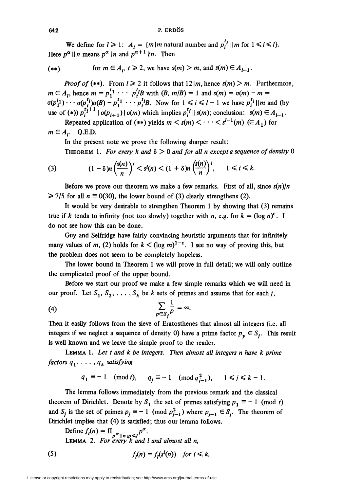$$
642 \t\t\t P. ERDOS
$$

We define for  $l \geq 1$ :  $A_i = \{m \mid m \text{ natural number and } p_i^{t_i} \mid |m \text{ for } 1 \leq i \leq l\}.$ Here  $p^{\alpha} \parallel n$  means  $p^{\alpha} \parallel n$  and  $p^{\alpha+1} \parallel n$ . Then

$$
(**) \quad \text{for } m \in A_p, t \geq 2, \text{ we have } s(m) > m, \text{ and } s(m) \in A_{l-1}.
$$

**Proof of (\*\*).** From  $l \ge 2$  it follows that  $12 \mid m$ , hence  $s(m) \ge m$ . Furthermore,  $m \in A_1$ , hence  $m = p_1^{t_1} \cdots p_t^{t_l}$  with  $(B, m/B) = 1$  and  $s(m) = o(m) - m =$  $\sigma(p_1^{l_1}) \cdots \sigma(p_r^{t_l})\sigma(B) - p_1^{t_1} \cdots p_r^{t_l}B$ . Now for  $1 \le i \le l-1$  we have  $p_i^{t_i} \parallel m$  and (by use of (\*))  $p_i^{t+1} \mid \sigma(p_{i+1}) \mid \sigma(m)$  which implies  $p_i^{t_i} \mid s(m)$ ; conclusion:  $s(m) \in A_{l-1}$ .

Repeated application of (\*\*) yields  $m < s(m) < \cdots < s^{l-1}(m) \in A_1$ ) for  $m \in A_i$ . Q.E.D.

In the present note we prove the following sharper result:

THEOREM 1. For every k and  $\delta > 0$  and for all n except a sequence of density 0

(3) 
$$
(1-\delta)n\left(\frac{s(n)}{n}\right)^i < s^i(n) < (1+\delta)n\left(\frac{s(n)}{n}\right)^i, \quad 1 \le i \le k.
$$

Before we prove our theorem we make a few remarks. First of all, since  $s(n)/n$  $\geq$  7/5 for all  $n \equiv 0(30)$ , the lower bound of (3) clearly strengthens (2).

It would be very desirable to strengthen Theorem 1 by showing that (3) remains true if k tends to infinity (not too slowly) together with n, e.g. for  $k = (\log n)^{\epsilon}$ . I do not see how this can be done.

Guy and Selfridge have fairly convincing heuristic arguments that for infinitely many values of m, (2) holds for  $k < (\log m)^{1-\epsilon}$ . I see no way of proving this, but the problem does not seem to be completely hopeless.

The lower bound in Theorem 1 we will prove in full detail; we will only outline the complicated proof of the upper bound.

Before we start our proof we make a few simple remarks which we will need in our proof. Let  $S_1, S_2, \ldots, S_k$  be k sets of primes and assume that for each *j*,

$$
\sum_{p\in S_j}\frac{1}{p}=\infty.
$$

Then it easily follows from the sieve of Eratosthenes that almost all integers (i.e. all integers if we neglect a sequence of density 0) have a prime factor  $p_v \in S_i$ . This result is well known and we leave the simple proof to the reader.

Lemma 1. Let t and k be integers. Then almost all integers n have k prime factors  $q_1, \ldots, q_k$  satisfying

$$
q_1 \equiv -1 \pmod{t}, \qquad q_j \equiv -1 \pmod{q_{j-1}^2}, \qquad 1 \le j \le k-1.
$$

The lemma follows immediately from the previous remark and the classical theorem of Dirichlet. Denote by  $S_1$  the set of primes satisfying  $p_1 \equiv -1 \pmod{t}$ and  $S_i$  is the set of primes  $p_i \equiv -1 \pmod{p_{i-1}^2}$  where  $p_{i-1} \in S_i$ . The theorem of Dirichlet implies that (4) is satisfied; thus our lemma follows.

Define  $f_i(n) = \prod_{\alpha, \ldots, \alpha} p^{\alpha}$ . Lemma 2. For every k and I and almost all n,

(5) 
$$
f_l(n) = f_l(s^i(n)) \text{ for } i \leq k.
$$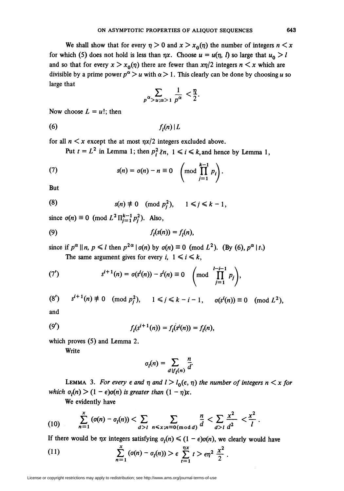We shall show that for every  $\eta > 0$  and  $x > x_0(\eta)$  the number of integers  $n < x$ for which (5) does not hold is less than  $\eta x$ . Choose  $u = u(\eta, l)$  so large that  $u_0 > l$ and so that for every  $x > x_0(\eta)$  there are fewer than  $x\eta/2$  integers  $n < x$  which are divisible by a prime power  $p^{\alpha} > u$  with  $\alpha > 1$ . This clearly can be done by choosing u so large that

$$
\sum_{p^{\alpha} > u; \alpha > 1} \frac{1}{p^{\alpha}} < \frac{\eta}{2}.
$$

Now choose  $L = u!$ ; then

(6)  $f_l(n)$ 

for all  $n < x$  except the at most  $n x / 2$  integers excluded above.

Put  $t = L^2$  in Lemma 1; then  $p_i^2 \nmid n, 1 \le i \le k$ , and hence by Lemma 1,

(7) 
$$
s(n) = \sigma(n) - n \equiv 0 \quad \left(\text{mod } \prod_{j=1}^{k-1} p_j\right).
$$

But

(8) 
$$
s(n) \neq 0 \pmod{p_j^2}, \quad 1 \leq j \leq k-1,
$$

since  $\sigma(n) \equiv 0 \pmod{L^2 \prod_{i=1}^{k-1} p_i^2}$ . Also,

$$
(9) \t\t fl(s(n)) = fl(n),
$$

since if  $p^{\alpha} || n, p \le l$  then  $p^{2\alpha} | o(n)$  by  $o(n) \equiv 0 \pmod{L^2}$ . (By (6),  $p^{\alpha} | t$ .) The same argument gives for every i,  $1 \le i \le k$ ,

(7') 
$$
s^{i+1}(n) = \sigma(s^i(n)) - s^i(n) \equiv 0 \quad \left(\text{mod} \prod_{j=1}^{l-i-1} p_j\right),
$$

$$
(8') \t si+1(n) \neq 0 \pmod{p_j^2}, \t 1 \leq j \leq k-i-1, \t \sigma(si(n)) \equiv 0 \pmod{L^2},
$$

and

(9') 
$$
f_l(s^{i+1}(n)) = f_l(s^i(n)) = f_l(n),
$$

which proves (5) and Lemma 2.

Write

$$
\sigma_l(n) = \sum_{d \mid f_l(n)} \frac{n}{d}.
$$

LEMMA 3. For every  $\epsilon$  and  $\eta$  and  $l > l_0(\epsilon, \eta)$  the number of integers  $n < x$  for which  $\sigma_i(n)$  >  $(1 - \epsilon)\sigma(n)$  is greater than  $(1 - \eta)x$ .

We evidently have

(10) 
$$
\sum_{n=1}^{x} (o(n) - o_{l}(n)) < \sum_{d>l} \sum_{n \le x; n \equiv 0 \pmod{d}} \frac{n}{d} < \sum_{d>l} \frac{x^{2}}{d^{2}} < \frac{x^{2}}{l}.
$$

If there would be  $\eta x$  integers satisfying  $\sigma_i(n) \leq (1 - \epsilon)\sigma(n)$ , we clearly would have

(11) 
$$
\sum_{n=1}^{x} (o(n) - o_{1}(n)) > \epsilon \sum_{t=1}^{nx} t > \epsilon n^{2} \frac{x^{2}}{2}.
$$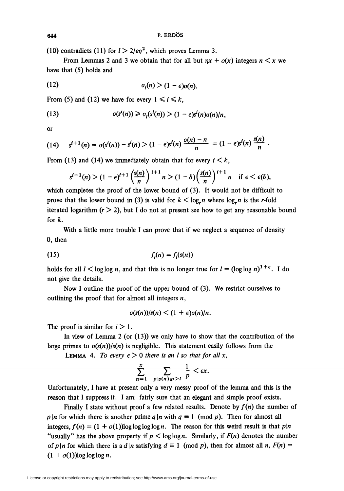(10) contradicts (11) for  $l > 2/\epsilon \eta^2$ , which proves Lemma 3.

From Lemmas 2 and 3 we obtain that for all but  $nx + o(x)$  integers  $n < x$  we have that (5) holds and

$$
\sigma_l(n) > (1-\epsilon)\sigma(n).
$$

From (5) and (12) we have for every  $1 \le i \le k$ ,

(13) 
$$
\sigma(s^{i}(n)) \geq \sigma_{i}(s^{i}(n)) > (1 - \epsilon)s^{i}(n)\sigma(n)/n,
$$

or

(14) 
$$
s^{i+1}(n) = \sigma(s^i(n)) - s^i(n) > (1 - \epsilon)s^i(n) \frac{\sigma(n) - n}{n} = (1 - \epsilon)s^i(n) \frac{s(n)}{n}
$$
.

From (13) and (14) we immediately obtain that for every  $i < k$ ,

$$
s^{i+1}(n) > (1-\epsilon)^{i+1} \left(\frac{s(n)}{n}\right)^{i+1} n > (1-\delta) \left(\frac{s(n)}{n}\right)^{i+1} n \quad \text{if } \epsilon < \epsilon(\delta),
$$

which completes the proof of the lower bound of (3). It would not be difficult to prove that the lower bound in (3) is valid for  $k < \log n$  where  $\log n$  is the r-fold iterated logarithm  $(r > 2)$ , but I do not at present see how to get any reasonable bound for  $k$ .

With a little more trouble I can prove that if we neglect a sequence of density 0, then

$$
(15) \t\t fl(n) = fl(s(n))
$$

holds for all  $l < \log \log n$ , and that this is no longer true for  $l = (\log \log n)^{1+\epsilon}$ . I do not give the details.

Now I outline the proof of the upper bound of (3). We restrict ourselves to outlining the proof that for almost all integers  $n$ ,

$$
\sigma(s(n))/s(n) < (1+\epsilon)\sigma(n)/n.
$$

The proof is similar for  $i > 1$ .

In view of Lemma  $2$  (or  $(13)$ ) we only have to show that the contribution of the large primes to  $\sigma(s(n))/s(n)$  is negligible. This statement easily follows from the

LEMMA 4. To every  $\epsilon > 0$  there is an I so that for all x,

$$
\sum_{n=1}^x \sum_{p \mid s(n); p > l} \frac{1}{p} < \epsilon x.
$$

Unfortunately, I have at present only a very messy proof of the lemma and this is the reason that I suppress it. I am fairly sure that an elegant and simple proof exists.

Finally I state without proof a few related results. Denote by  $f(n)$  the number of p |n for which there is another prime q |n with  $q \equiv 1 \pmod{p}$ . Then for almost all integers,  $f(n) = (1 + o(1))\log \log \log \log n$ . The reason for this weird result is that p|n "usually" has the above property if  $p < log log n$ . Similarly, if  $F(n)$  denotes the number of p|n for which there is a d|n satisfying  $d \equiv 1 \pmod{p}$ , then for almost all n,  $F(n) =$  $(1 + o(1))$ log log log n.